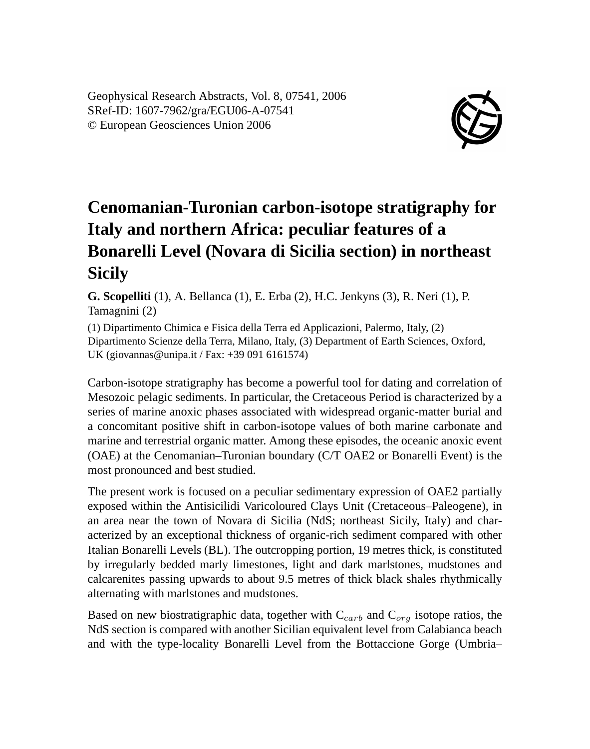Geophysical Research Abstracts, Vol. 8, 07541, 2006 SRef-ID: 1607-7962/gra/EGU06-A-07541 © European Geosciences Union 2006



## **Cenomanian-Turonian carbon-isotope stratigraphy for Italy and northern Africa: peculiar features of a Bonarelli Level (Novara di Sicilia section) in northeast Sicily**

**G. Scopelliti** (1), A. Bellanca (1), E. Erba (2), H.C. Jenkyns (3), R. Neri (1), P. Tamagnini (2)

(1) Dipartimento Chimica e Fisica della Terra ed Applicazioni, Palermo, Italy, (2) Dipartimento Scienze della Terra, Milano, Italy, (3) Department of Earth Sciences, Oxford, UK (giovannas@unipa.it / Fax: +39 091 6161574)

Carbon-isotope stratigraphy has become a powerful tool for dating and correlation of Mesozoic pelagic sediments. In particular, the Cretaceous Period is characterized by a series of marine anoxic phases associated with widespread organic-matter burial and a concomitant positive shift in carbon-isotope values of both marine carbonate and marine and terrestrial organic matter. Among these episodes, the oceanic anoxic event (OAE) at the Cenomanian–Turonian boundary (C/T OAE2 or Bonarelli Event) is the most pronounced and best studied.

The present work is focused on a peculiar sedimentary expression of OAE2 partially exposed within the Antisicilidi Varicoloured Clays Unit (Cretaceous–Paleogene), in an area near the town of Novara di Sicilia (NdS; northeast Sicily, Italy) and characterized by an exceptional thickness of organic-rich sediment compared with other Italian Bonarelli Levels (BL). The outcropping portion, 19 metres thick, is constituted by irregularly bedded marly limestones, light and dark marlstones, mudstones and calcarenites passing upwards to about 9.5 metres of thick black shales rhythmically alternating with marlstones and mudstones.

Based on new biostratigraphic data, together with  $C_{carb}$  and  $C_{org}$  isotope ratios, the NdS section is compared with another Sicilian equivalent level from Calabianca beach and with the type-locality Bonarelli Level from the Bottaccione Gorge (Umbria–